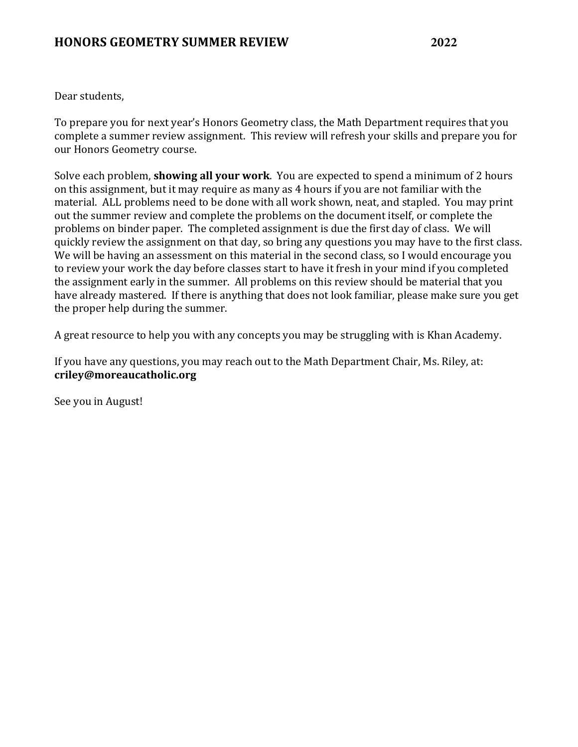Dear students,

To prepare you for next year's Honors Geometry class, the Math Department requires that you complete a summer review assignment. This review will refresh your skills and prepare you for our Honors Geometry course.

Solve each problem, **showing all your work**. You are expected to spend a minimum of 2 hours on this assignment, but it may require as many as 4 hours if you are not familiar with the material. ALL problems need to be done with all work shown, neat, and stapled. You may print out the summer review and complete the problems on the document itself, or complete the problems on binder paper. The completed assignment is due the first day of class. We will quickly review the assignment on that day, so bring any questions you may have to the first class. We will be having an assessment on this material in the second class, so I would encourage you to review your work the day before classes start to have it fresh in your mind if you completed the assignment early in the summer. All problems on this review should be material that you have already mastered. If there is anything that does not look familiar, please make sure you get the proper help during the summer.

A great resource to help you with any concepts you may be struggling with is Khan Academy.

If you have any questions, you may reach out to the Math Department Chair, Ms. Riley, at: **criley@moreaucatholic.org**

See you in August!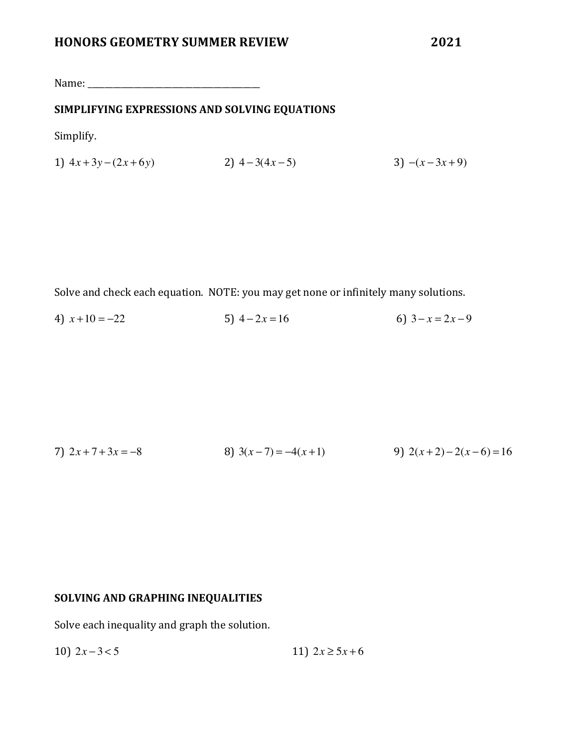Name: \_\_\_\_\_\_\_\_\_\_\_\_\_\_\_\_\_\_\_\_\_\_\_\_\_\_\_\_\_\_\_\_\_\_\_\_\_\_\_\_\_

#### **SIMPLIFYING EXPRESSIONS AND SOLVING EQUATIONS**

Simplify.

1)  $4x+3y-(2x+6y)$  2)  $4-3(4x-5)$  3)  $-(x-3x+9)$ 

Solve and check each equation. NOTE: you may get none or infinitely many solutions.

4)  $x+10 = -22$  5)  $4-2x = 16$  6)  $3-x = 2x-9$ 

7) 
$$
2x+7+3x = -8
$$
  
8)  $3(x-7) = -4(x+1)$   
9)  $2(x+2)-2(x-6) = 16$ 

# **SOLVING AND GRAPHING INEQUALITIES**

Solve each inequality and graph the solution.

10)  $2x - 3 < 5$  11)  $2x \ge 5x + 6$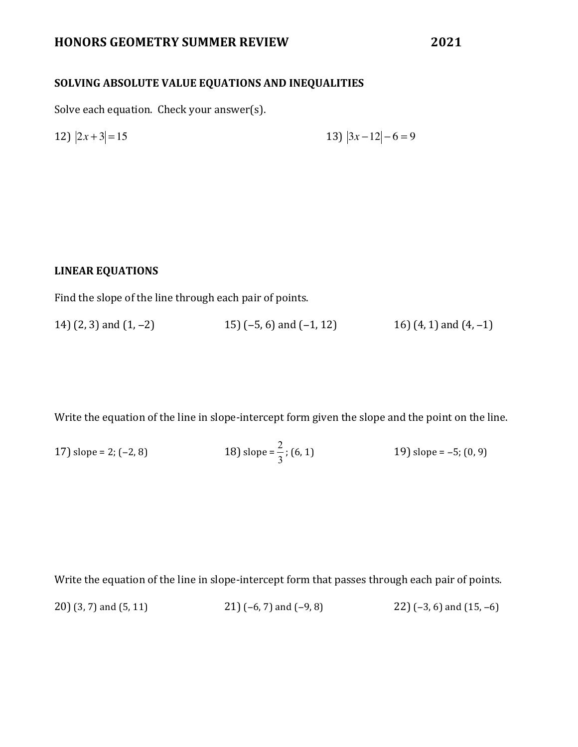# **HONORS GEOMETRY SUMMER REVIEW 2021**

### **SOLVING ABSOLUTE VALUE EQUATIONS AND INEQUALITIES**

Solve each equation. Check your answer(s).

12) 
$$
|2x+3|=15
$$
 13)  $|3x-12|-6=9$ 

#### **LINEAR EQUATIONS**

Find the slope of the line through each pair of points.

14)  $(2, 3)$  and  $(1, -2)$  15)  $(-5, 6)$  and  $(-1, 12)$  16)  $(4, 1)$  and  $(4, -1)$ 

Write the equation of the line in slope-intercept form given the slope and the point on the line.

17) slope = 2; (-2, 8)   
18) slope = 
$$
\frac{2}{3}
$$
; (6, 1)   
19) slope = -5; (0, 9)

Write the equation of the line in slope-intercept form that passes through each pair of points. 20) (3, 7) and (5, 11) 21)  $(-6, 7)$  and  $(-9, 8)$  22)  $(-3, 6)$  and  $(15, -6)$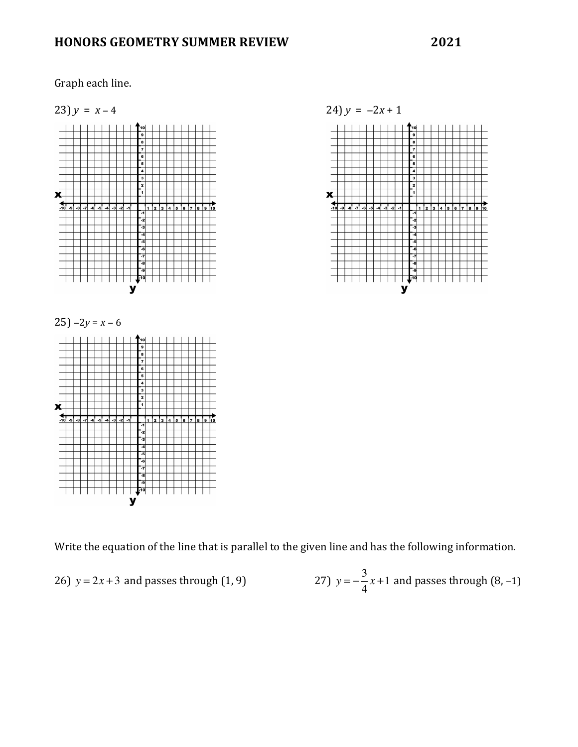# **HONORS GEOMETRY SUMMER REVIEW 2021**





Write the equation of the line that is parallel to the given line and has the following information.

26) 
$$
y = 2x + 3
$$
 and passes through (1, 9)   
27)  $y = -\frac{3}{4}x + 1$  and passes through (8, -1)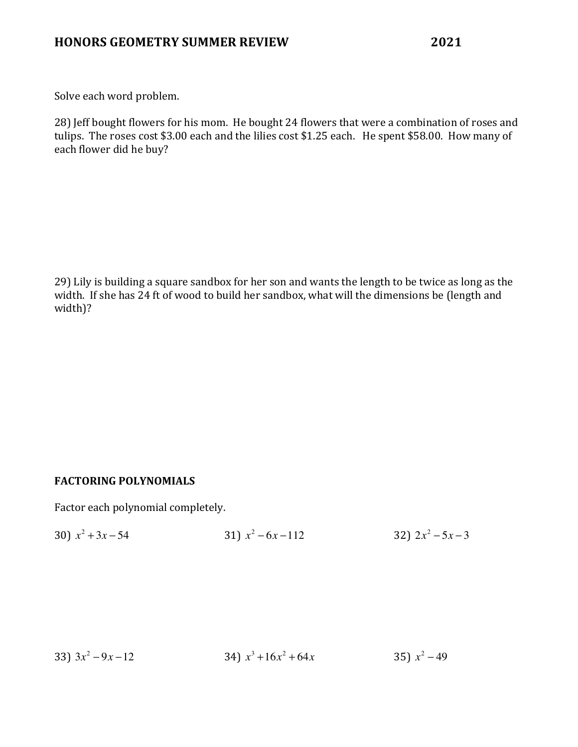Solve each word problem.

28) Jeff bought flowers for his mom. He bought 24 flowers that were a combination of roses and tulips. The roses cost \$3.00 each and the lilies cost \$1.25 each. He spent \$58.00. How many of each flower did he buy?

29) Lily is building a square sandbox for her son and wants the length to be twice as long as the width. If she has 24 ft of wood to build her sandbox, what will the dimensions be (length and width)?

### **FACTORING POLYNOMIALS**

Factor each polynomial completely.

|  | 30) $x^2 + 3x - 54$ | 31) $x^2 - 6x - 112$ | 32) $2x^2 - 5x - 3$ |
|--|---------------------|----------------------|---------------------|
|--|---------------------|----------------------|---------------------|

33) 
$$
3x^2 - 9x - 12
$$
  
34)  $x^3 + 16x^2 + 64x$   
35)  $x^2 - 49$